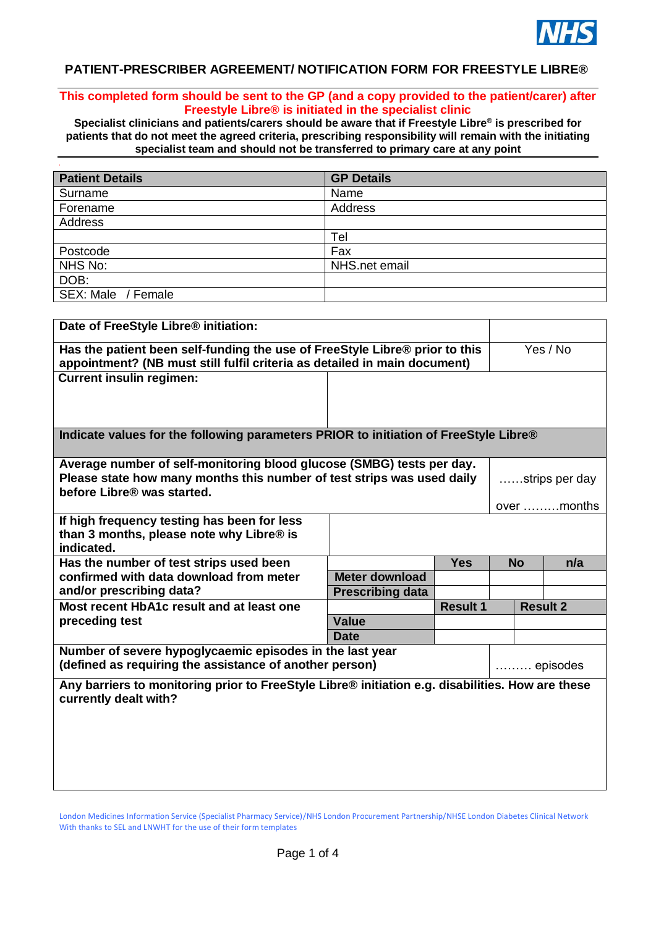

## **PATIENT-PRESCRIBER AGREEMENT/ NOTIFICATION FORM FOR FREESTYLE LIBRE®**

## **This completed form should be sent to the GP (and a copy provided to the patient/carer) after Freestyle Libre® is initiated in the specialist clinic**

**Specialist clinicians and patients/carers should be aware that if Freestyle Libre® is prescribed for patients that do not meet the agreed criteria, prescribing responsibility will remain with the initiating specialist team and should not be transferred to primary care at any point**

| <b>Patient Details</b> | <b>GP Details</b> |
|------------------------|-------------------|
| Surname                | Name              |
| Forename               | Address           |
| Address                |                   |
|                        | Tel               |
| Postcode               | Fax               |
| NHS No:                | NHS.net email     |
| DOB:                   |                   |
| SEX: Male / Female     |                   |

| Date of FreeStyle Libre® initiation:                                                                                                                     |                         |                 |                |                 |
|----------------------------------------------------------------------------------------------------------------------------------------------------------|-------------------------|-----------------|----------------|-----------------|
| Has the patient been self-funding the use of FreeStyle Libre® prior to this<br>appointment? (NB must still fulfil criteria as detailed in main document) |                         |                 |                | Yes / No        |
| <b>Current insulin regimen:</b>                                                                                                                          |                         |                 |                |                 |
|                                                                                                                                                          |                         |                 |                |                 |
| Indicate values for the following parameters PRIOR to initiation of FreeStyle Libre®                                                                     |                         |                 |                |                 |
| Average number of self-monitoring blood glucose (SMBG) tests per day.                                                                                    |                         |                 |                |                 |
| Please state how many months this number of test strips was used daily<br>before Libre® was started.                                                     |                         |                 | strips per day |                 |
|                                                                                                                                                          |                         |                 |                | over months     |
| If high frequency testing has been for less<br>than 3 months, please note why Libre® is<br>indicated.                                                    |                         |                 |                |                 |
| Has the number of test strips used been                                                                                                                  |                         | <b>Yes</b>      | <b>No</b>      | n/a             |
| confirmed with data download from meter                                                                                                                  | <b>Meter download</b>   |                 |                |                 |
| and/or prescribing data?                                                                                                                                 | <b>Prescribing data</b> |                 |                |                 |
| Most recent HbA1c result and at least one                                                                                                                |                         | <b>Result 1</b> |                | <b>Result 2</b> |
| preceding test                                                                                                                                           | <b>Value</b>            |                 |                |                 |
|                                                                                                                                                          | <b>Date</b>             |                 |                |                 |
| Number of severe hypoglycaemic episodes in the last year<br>(defined as requiring the assistance of another person)<br>episodes                          |                         |                 |                |                 |
| Any barriers to monitoring prior to FreeStyle Libre® initiation e.g. disabilities. How are these<br>currently dealt with?                                |                         |                 |                |                 |
|                                                                                                                                                          |                         |                 |                |                 |
|                                                                                                                                                          |                         |                 |                |                 |
|                                                                                                                                                          |                         |                 |                |                 |
|                                                                                                                                                          |                         |                 |                |                 |

London Medicines Information Service (Specialist Pharmacy Service)/NHS London Procurement Partnership/NHSE London Diabetes Clinical Network With thanks to SEL and LNWHT for the use of their form templates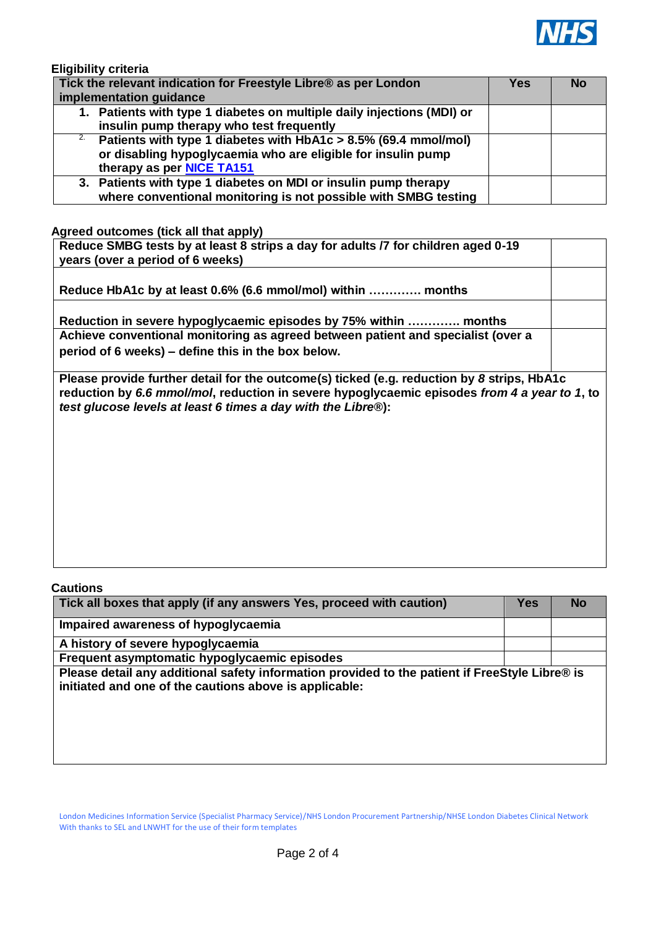

**Eligibility criteria**

| Tick the relevant indication for Freestyle Libre® as per London              |  | <b>No</b> |
|------------------------------------------------------------------------------|--|-----------|
| implementation guidance                                                      |  |           |
| 1. Patients with type 1 diabetes on multiple daily injections (MDI) or       |  |           |
| insulin pump therapy who test frequently                                     |  |           |
| <sup>2</sup> Patients with type 1 diabetes with HbA1c > 8.5% (69.4 mmol/mol) |  |           |
| or disabling hypoglycaemia who are eligible for insulin pump                 |  |           |
| therapy as per <b>NICE TA151</b>                                             |  |           |
| 3. Patients with type 1 diabetes on MDI or insulin pump therapy              |  |           |
| where conventional monitoring is not possible with SMBG testing              |  |           |

**Agreed outcomes (tick all that apply)**

| Reduce SMBG tests by at least 8 strips a day for adults /7 for children aged 0-19<br>years (over a period of 6 weeks)                                                                                                                                      |  |
|------------------------------------------------------------------------------------------------------------------------------------------------------------------------------------------------------------------------------------------------------------|--|
|                                                                                                                                                                                                                                                            |  |
| Reduce HbA1c by at least 0.6% (6.6 mmol/mol) within  months                                                                                                                                                                                                |  |
| Reduction in severe hypoglycaemic episodes by 75% within  months                                                                                                                                                                                           |  |
| Achieve conventional monitoring as agreed between patient and specialist (over a                                                                                                                                                                           |  |
| period of 6 weeks) – define this in the box below.                                                                                                                                                                                                         |  |
| Please provide further detail for the outcome(s) ticked (e.g. reduction by 8 strips, HbA1c<br>reduction by 6.6 mmol/mol, reduction in severe hypoglycaemic episodes from 4 a year to 1, to<br>test glucose levels at least 6 times a day with the Libre®): |  |

**Cautions**

| Tick all boxes that apply (if any answers Yes, proceed with caution)                                                                                     | <b>Yes</b> | No |
|----------------------------------------------------------------------------------------------------------------------------------------------------------|------------|----|
| Impaired awareness of hypoglycaemia                                                                                                                      |            |    |
| A history of severe hypoglycaemia                                                                                                                        |            |    |
| Frequent asymptomatic hypoglycaemic episodes                                                                                                             |            |    |
| Please detail any additional safety information provided to the patient if FreeStyle Libre® is<br>initiated and one of the cautions above is applicable: |            |    |
|                                                                                                                                                          |            |    |

London Medicines Information Service (Specialist Pharmacy Service)/NHS London Procurement Partnership/NHSE London Diabetes Clinical Network With thanks to SEL and LNWHT for the use of their form templates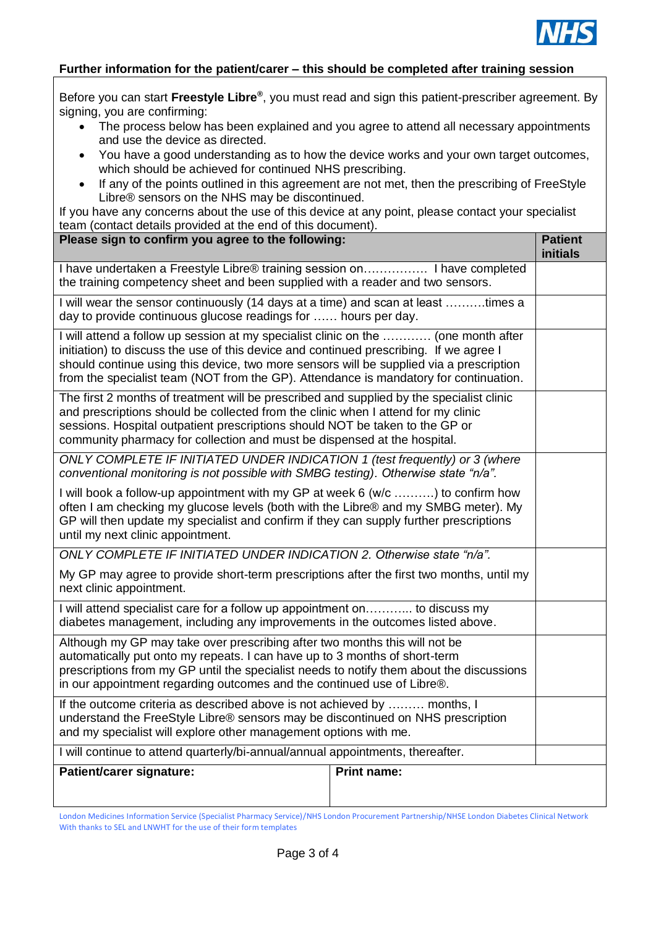

## **Further information for the patient/carer – this should be completed after training session**

Before you can start **Freestyle Libre®** , you must read and sign this patient-prescriber agreement. By signing, you are confirming:

- The process below has been explained and you agree to attend all necessary appointments and use the device as directed.
- You have a good understanding as to how the device works and your own target outcomes, which should be achieved for continued NHS prescribing.
- If any of the points outlined in this agreement are not met, then the prescribing of FreeStyle Libre® sensors on the NHS may be discontinued.

If you have any concerns about the use of this device at any point, please contact your specialist team (contact details provided at the end of this document).

| Please sign to confirm you agree to the following:                                                                                                                                                                                                                                                                                                               |                    | <b>Patient</b><br><b>initials</b> |
|------------------------------------------------------------------------------------------------------------------------------------------------------------------------------------------------------------------------------------------------------------------------------------------------------------------------------------------------------------------|--------------------|-----------------------------------|
| I have undertaken a Freestyle Libre® training session on I have completed<br>the training competency sheet and been supplied with a reader and two sensors.                                                                                                                                                                                                      |                    |                                   |
| I will wear the sensor continuously (14 days at a time) and scan at least times a<br>day to provide continuous glucose readings for  hours per day.                                                                                                                                                                                                              |                    |                                   |
| I will attend a follow up session at my specialist clinic on the  (one month after<br>initiation) to discuss the use of this device and continued prescribing. If we agree I<br>should continue using this device, two more sensors will be supplied via a prescription<br>from the specialist team (NOT from the GP). Attendance is mandatory for continuation. |                    |                                   |
| The first 2 months of treatment will be prescribed and supplied by the specialist clinic<br>and prescriptions should be collected from the clinic when I attend for my clinic<br>sessions. Hospital outpatient prescriptions should NOT be taken to the GP or<br>community pharmacy for collection and must be dispensed at the hospital.                        |                    |                                   |
| ONLY COMPLETE IF INITIATED UNDER INDICATION 1 (test frequently) or 3 (where<br>conventional monitoring is not possible with SMBG testing). Otherwise state "n/a".                                                                                                                                                                                                |                    |                                   |
| I will book a follow-up appointment with my GP at week 6 (w/c ) to confirm how<br>often I am checking my glucose levels (both with the Libre® and my SMBG meter). My<br>GP will then update my specialist and confirm if they can supply further prescriptions<br>until my next clinic appointment.                                                              |                    |                                   |
| ONLY COMPLETE IF INITIATED UNDER INDICATION 2. Otherwise state "n/a".                                                                                                                                                                                                                                                                                            |                    |                                   |
| My GP may agree to provide short-term prescriptions after the first two months, until my<br>next clinic appointment.                                                                                                                                                                                                                                             |                    |                                   |
| I will attend specialist care for a follow up appointment on to discuss my<br>diabetes management, including any improvements in the outcomes listed above.                                                                                                                                                                                                      |                    |                                   |
| Although my GP may take over prescribing after two months this will not be<br>automatically put onto my repeats. I can have up to 3 months of short-term<br>prescriptions from my GP until the specialist needs to notify them about the discussions<br>in our appointment regarding outcomes and the continued use of Libre®.                                   |                    |                                   |
| If the outcome criteria as described above is not achieved by  months, I<br>understand the FreeStyle Libre® sensors may be discontinued on NHS prescription<br>and my specialist will explore other management options with me.                                                                                                                                  |                    |                                   |
| I will continue to attend quarterly/bi-annual/annual appointments, thereafter.                                                                                                                                                                                                                                                                                   |                    |                                   |
| Patient/carer signature:                                                                                                                                                                                                                                                                                                                                         | <b>Print name:</b> |                                   |
|                                                                                                                                                                                                                                                                                                                                                                  |                    |                                   |

London Medicines Information Service (Specialist Pharmacy Service)/NHS London Procurement Partnership/NHSE London Diabetes Clinical Network With thanks to SEL and LNWHT for the use of their form templates